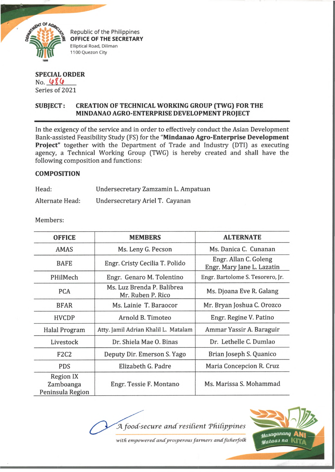

*M* **Republic of the Philippines<br>
<b>OFFICE OF THE SECRETARY**<br> **CORPORATION AND REPUBLICANCE** Elliptical Road, Diliman 1100 Quezon City

## **SPECIAL ORDER** No. 486 Series of 2021

## **SUBJECT: CREATION OF TECHNICAL WORKING GROUP (TWG) FOR THE MINDANAO AGRO-ENTERPRISE DEVELOPMENT PROJECT**

In the exigency of the service and in order to effectively conduct the Asian Development Bank-assisted Feasibility Study (FS) for the **"Mindanao Agro-Enterprise Development Project"** together with the Department of Trade and Industry (DTI) as executing agency, a Technical Working Group (TWG) is hereby created and shall have the following composition and functions:

## **COMPOSITION**

| Head:           | Undersecretary Zamzamin L. Ampatuar |  |
|-----------------|-------------------------------------|--|
| Alternate Head: | Undersecretary Ariel T. Cayanan     |  |

Members:

| <b>OFFICE</b>                                     | <b>MEMBERS</b>                                  | <b>ALTERNATE</b>                                    |
|---------------------------------------------------|-------------------------------------------------|-----------------------------------------------------|
| <b>AMAS</b>                                       | Ms. Leny G. Pecson                              | Ms. Danica C. Cunanan                               |
| <b>BAFE</b>                                       | Engr. Cristy Cecilia T. Polido                  | Engr. Allan C. Goleng<br>Engr. Mary Jane L. Lazatin |
| PHilMech                                          | Engr. Genaro M. Tolentino                       | Engr. Bartolome S. Tesorero, Jr.                    |
| <b>PCA</b>                                        | Ms. Luz Brenda P. Balibrea<br>Mr. Ruben P. Rico | Ms. Djoana Eve R. Galang                            |
| <b>BFAR</b>                                       | Ms. Lainie T. Baraocor                          | Mr. Bryan Joshua C. Orozco                          |
| <b>HVCDP</b>                                      | Arnold B. Timoteo                               | Engr. Regine V. Patino                              |
| <b>Halal Program</b>                              | Atty. Jamil Adrian Khalil L. Matalam            | Ammar Yassir A. Baraguir                            |
| Livestock                                         | Dr. Shiela Mae O. Binas                         | Dr. Lethelle C. Dumlao                              |
| <b>F2C2</b>                                       | Deputy Dir. Emerson S. Yago                     | Brian Joseph S. Quanico                             |
| <b>PDS</b>                                        | Elizabeth G. Padre                              | Maria Concepcion R. Cruz                            |
| <b>Region IX</b><br>Zamboanga<br>Peninsula Region | Engr. Tessie F. Montano                         | Ms. Marissa S. Mohammad                             |

*A food-secure a n d resident Tfiidjypines*



with empowered and prosperous farmers and fisherfolk